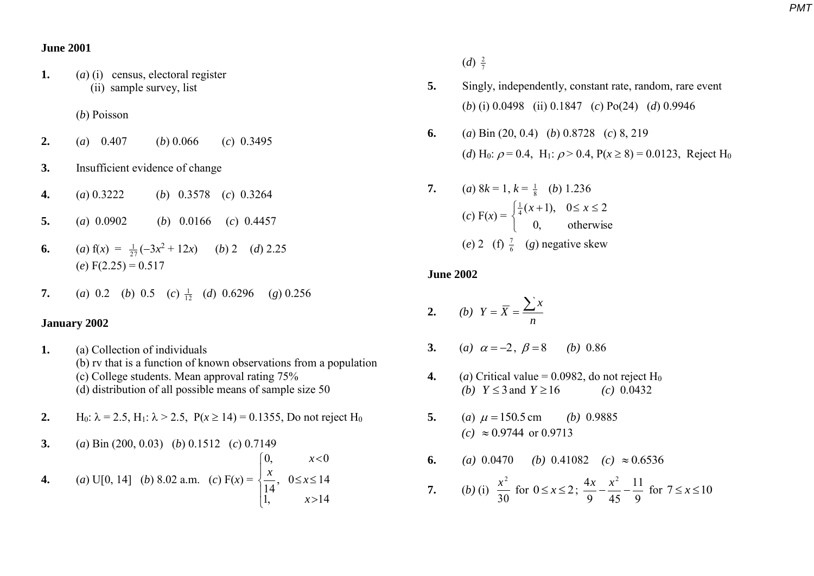#### **June 2001**

**1.** (*a*) (i) census, electoral register (ii) sample survey, list

## (*b*) Poisson

- **2.** (*a*) 0.407 (*b*) 0.066 (*c*) 0.3495
- **3.** Insufficient evidence of change
- **4.** (*a*) 0.3222 (*b*) 0.3578 (*c*) 0.3264
- **5.** (*a*) 0.0902 (*b*) 0.0166 (*c*) 0.4457
- **6.** (a)  $f(x) = \frac{1}{27}(-3x^2 + 12x)$  (b) 2 (d) 2.25  $(e) F(2.25) = 0.517$
- **7.** (*a*) 0.2 (*b*) 0.5 (*c*)  $\frac{1}{12}$  (*d*) 0.6296 (*g*) 0.256

#### **January 2002**

- **1.** (a) Collection of individuals (b) rv that is a function of known observations from a population (c) College students. Mean approval rating 75% (d) distribution of all possible means of sample size 50
- **2.** H<sub>0</sub>:  $\lambda = 2.5$ , H<sub>1</sub>:  $\lambda > 2.5$ , P( $x \ge 14$ ) = 0.1355, Do not reject H<sub>0</sub>
- **3.** (*a*) Bin (200, 0.03) (*b*) 0.1512 (*c*) 0.7149 **4.** (*a*) U[0, 14] (*b*) 8.02 a.m. (*c*) F(*x*) =  $\overline{\phantom{a}}$  $\overline{\mathcal{L}}$  $\overline{\phantom{a}}$ ₹  $\int$  $>$  $\leq x \leq$  $\prec$ 1,  $x>14$  $, 0 \le x \le 14$ 14 0,  $x < 0$ *x*  $\frac{x}{x}$ , 0  $\leq$ *x x*

 $(d) \frac{2}{7}$ 2

- **5.** Singly, independently, constant rate, random, rare event (*b*) (i) 0.0498 (ii) 0.1847 (*c*) Po(24) (*d*) 0.9946
- **6.** (*a*) Bin (20, 0.4) (*b*) 0.8728 (*c*) 8, 219 (*d*) H<sub>0</sub>:  $\rho = 0.4$ , H<sub>1</sub>:  $\rho > 0.4$ , P( $x \ge 8$ ) = 0.0123, Reject H<sub>0</sub>

7. (a) 
$$
8k = 1
$$
,  $k = \frac{1}{8}$  (b) 1.236  
\n(c)  $F(x) = \begin{cases} \frac{1}{4}(x+1), & 0 \le x \le 2 \\ 0, & \text{otherwise} \end{cases}$   
\n(e) 2 (f)  $\frac{7}{6}$  (g) negative skew

### **June 2002**

$$
2. \qquad (b) \ \ Y = \overline{X} = \frac{\sum x}{n}
$$

- **3.** (a)  $\alpha = -2$ ,  $\beta = 8$  (b) 0.86
- **4.** (*a*) Critical value = 0.0982, do not reject  $H_0$ (*b*)  $Y \leq 3$  and  $\mu$  (*c*) 0.0432
- **5.** (*a*)  $\mu = 150.5$ (b) 0.9885  $(c) \approx 0.9744$  or 0.9713
- **6.** *(a)* 0.0470 *(b)* 0.41082 *(c)*  $\approx$  0.6536 **7.** (*b*) (i) 30  $\frac{x^2}{20}$  for  $0 \le x \le 2$ ; 9 11 9 45  $4x \quad x^2$  $\frac{x}{\sqrt{2}} - \frac{x^2}{\sqrt{2}} - \frac{11}{9}$  for  $7 \le x \le 10$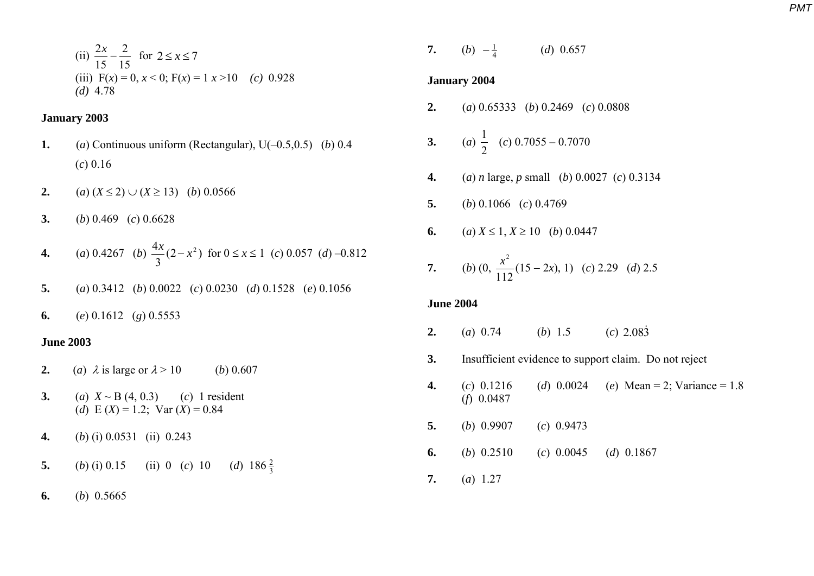(ii) 
$$
\frac{2x}{15} - \frac{2}{15}
$$
 for  $2 \le x \le 7$   
(iii)  $F(x) = 0$ ,  $x < 0$ ;  $F(x) = 1$   $x > 10$  (c) 0.928  
(d) 4.78

### **January 2003**

- **1.** (*a*) Continuous uniform (Rectangular), U(–0.5,0.5) (*b*) 0.4 (*c*) 0.16
- **2.** (*a*)  $(X \le 2) \cup (X \ge 13)$  (*b*) 0.0566
- **3.** (*b*) 0.469 (*c*) 0.6628
- **4.** (*a*) 0.4267 (*b*)  $\frac{1}{2}(2-x^2)$ 3  $\frac{4x}{2}(2-x^2)$  for  $0 \le x \le 1$  (*c*) 0.057 (*d*) –0.812
- **5.** (*a*) 0.3412 (*b*) 0.0022 (*c*) 0.0230 (*d*) 0.1528 (*e*) 0.1056

**6.** (*e*) 0.1612 (*g*) 0.5553

## **June 2003**

- **2.** (*a*)  $\lambda$  is large or  $\lambda > 10$  (*b*) 0.607
- **3.** (*a*)  $X \sim B(4, 0.3)$  (*c*) 1 resident (*d*)  $E(X) = 1.2$ ;  $Var(X) = 0.84$
- **4.** (*b*) (i) 0.0531 (ii) 0.243
- **5.** (*b*) (i) 0.15 (ii) 0 (*c*) 10 (*d*) 186 $\frac{2}{3}$ 2
- **6.** (*b*) 0.5665

**7.** (*b*)  $-\frac{1}{4}$  (*d*) 0.657

#### **January 2004**

**2.** (*a*) 0.65333 (*b*) 0.2469 (*c*) 0.0808

3. (a) 
$$
\frac{1}{2}
$$
 (c) 0.7055 - 0.7070

- **4.** (*a*) *n* large, *p* small (*b*) 0.0027 (*c*) 0.3134
- **5.** (*b*) 0.1066 (*c*) 0.4769
- **6.** (*a*)  $X \le 1, X \ge 10$  (*b*) 0.0447

7. (b) 
$$
(0, \frac{x^2}{112}(15-2x), 1)
$$
 (c) 2.29 (d) 2.5

## **June 2004**

- **2.** (*a*) 0.74 (*b*) 1.5 (*c*) 2.083
- **3.** Insufficient evidence to support claim. Do not reject
- **4.** (*c*) 0.1216 (*d*) 0.0024 (*e*) Mean = 2; Variance = 1.8 (*f*) 0.0487
- **5.** (*b*) 0.9907 (*c*) 0.9473
- **6.** (*b*) 0.2510 (*c*) 0.0045 (*d*) 0.1867
- **7.** (*a*) 1.27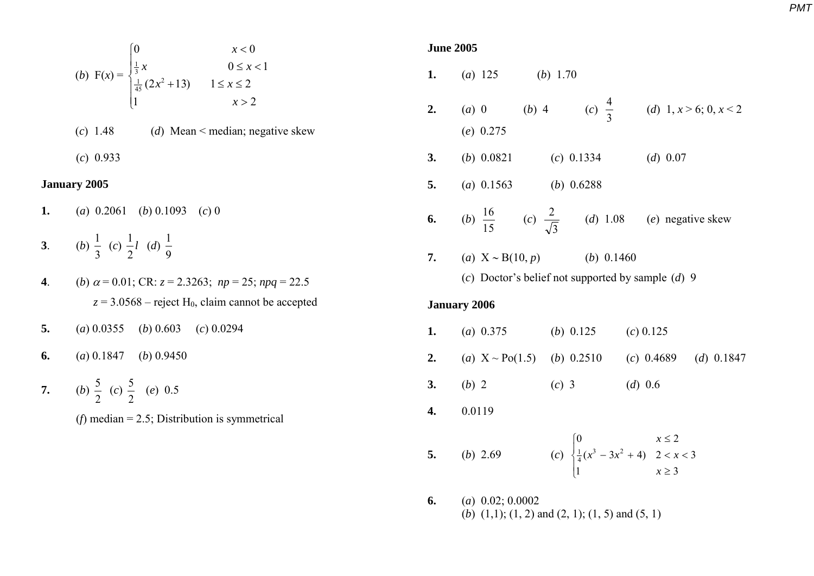(b) 
$$
F(x) = \begin{cases} 0 & x < 0 \\ \frac{1}{3}x & 0 \le x < 1 \\ \frac{1}{45}(2x^2 + 13) & 1 \le x \le 2 \\ 1 & x > 2 \end{cases}
$$
  
(c) 1.48 (d) Mean  $\le$  median; negative skew

(*c*) 0.933

## **January 2005**

- **1.** (*a*) 0.2061 (*b*) 0.1093 (*c*) 0
- **3**. (*b*) 3  $\frac{1}{2}$  (c)  $\frac{1}{2}l$ 2  $\frac{1}{2}l$  (*d*) 9 1
- **4**. (*b*)  $\alpha = 0.01$ ; CR:  $z = 2.3263$ ;  $np = 25$ ;  $npq = 22.5$  $z = 3.0568$  – reject H<sub>0</sub>, claim cannot be accepted
- **5.** (*a*) 0.0355 (*b*) 0.603 (*c*) 0.0294
- **6.** (*a*) 0.1847 (*b*) 0.9450
- **7.** (*b*) 2  $\frac{5}{2}$  (c) 2  $\frac{5}{2}$  (*e*) 0.5
	- (*f*) median = 2.5; Distribution is symmetrical

| <b>June 2005</b> |  |
|------------------|--|
|                  |  |

|    | <b>1.</b> (a) 125 (b) 1.70                                                                 |                   |  |  |                                                                                                       |  |
|----|--------------------------------------------------------------------------------------------|-------------------|--|--|-------------------------------------------------------------------------------------------------------|--|
|    | 2. (a) 0 (b) 4 (c) $\frac{4}{3}$ (d) 1, $x > 6$ ; 0, $x < 2$<br>$(e)$ 0.275                |                   |  |  |                                                                                                       |  |
| 3. | (b) $0.0821$ (c) $0.1334$                                                                  |                   |  |  | $(d)$ 0.07                                                                                            |  |
|    | 5. (a) $0.1563$ (b) $0.6288$                                                               |                   |  |  |                                                                                                       |  |
|    | <b>6.</b> (b) $\frac{16}{15}$ (c) $\frac{2}{\sqrt{3}}$ (d) 1.08 (e) negative skew          |                   |  |  |                                                                                                       |  |
|    | 7. (a) $X \sim B(10, p)$ (b) 0.1460<br>(c) Doctor's belief not supported by sample $(d)$ 9 |                   |  |  |                                                                                                       |  |
|    | <b>January 2006</b>                                                                        |                   |  |  |                                                                                                       |  |
|    | <b>1.</b> (a) $0.375$ (b) $0.125$ (c) $0.125$                                              |                   |  |  |                                                                                                       |  |
|    | <b>2.</b> (a) $X \sim Po(1.5)$ (b) 0.2510 (c) 0.4689 (d) 0.1847                            |                   |  |  |                                                                                                       |  |
|    | 3. (b) 2                                                                                   | $(c) 3$ $(d) 0.6$ |  |  |                                                                                                       |  |
|    | 4. 0.0119                                                                                  |                   |  |  |                                                                                                       |  |
|    | 5. ( <i>b</i> ) 2.69                                                                       |                   |  |  | (c) $\begin{cases} 0 & x \le 2 \\ \frac{1}{4}(x^3 - 3x^2 + 4) & 2 < x < 3 \\ 1 & x \ge 3 \end{cases}$ |  |
|    | 6 (a) 0.02:0.0002                                                                          |                   |  |  |                                                                                                       |  |

**6.** (*a*) 0.02; 0.0002 (*b*)  $(1,1)$ ;  $(1, 2)$  and  $(2, 1)$ ;  $(1, 5)$  and  $(5, 1)$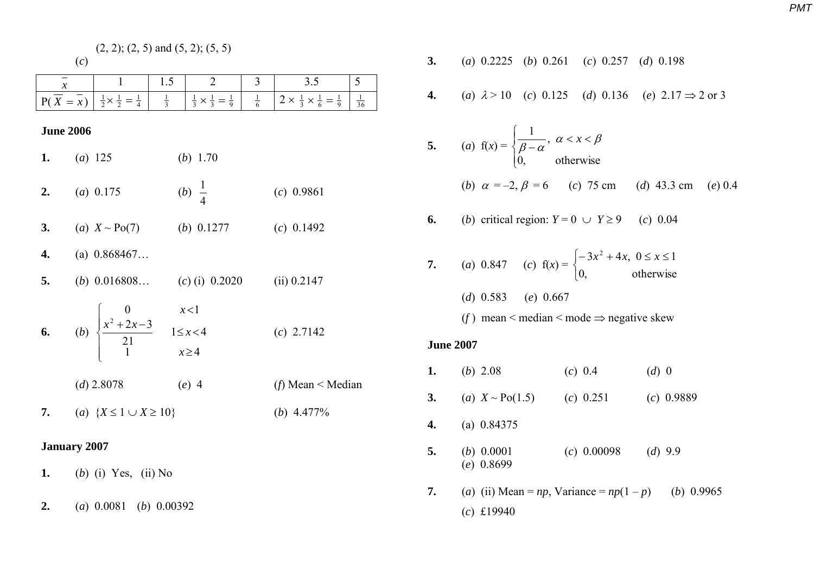|                     | $(2, 2)$ ; $(2, 5)$ and $(5, 2)$ ; $(5, 5)$                                                         |                                                                 |                                                                                            |  |  |  |
|---------------------|-----------------------------------------------------------------------------------------------------|-----------------------------------------------------------------|--------------------------------------------------------------------------------------------|--|--|--|
|                     | (c)                                                                                                 |                                                                 |                                                                                            |  |  |  |
| $\boldsymbol{\chi}$ |                                                                                                     | 1.5<br>$\overline{2}$                                           | 3.5<br>5<br>3                                                                              |  |  |  |
|                     | $P(\overline{X} = \overline{x}) \left  \frac{1}{2} \times \frac{1}{2} = \frac{1}{4} \right $        | $\frac{1}{3}$<br>$\frac{1}{3} \times \frac{1}{3} = \frac{1}{9}$ | $\frac{1}{6}$<br>$2 \times \frac{1}{3} \times \frac{1}{6} = \frac{1}{9}$<br>$\frac{1}{36}$ |  |  |  |
| <b>June 2006</b>    |                                                                                                     |                                                                 |                                                                                            |  |  |  |
| 1.                  | (a) 125                                                                                             | ( <i>b</i> ) 1.70                                               |                                                                                            |  |  |  |
| 2.                  | (a) $0.175$                                                                                         | ( <i>b</i> ) $\frac{1}{4}$                                      | $(c)$ 0.9861                                                                               |  |  |  |
| 3.                  | (a) $X \sim Po(7)$ (b) 0.1277                                                                       |                                                                 | $(c)$ 0.1492                                                                               |  |  |  |
| 4.                  | (a) $0.868467$                                                                                      |                                                                 |                                                                                            |  |  |  |
| 5.                  |                                                                                                     | (b) $0.016808$ (c) (i) $0.2020$                                 | (ii) 0.2147                                                                                |  |  |  |
| 6.                  | (b) $\begin{cases} 0 & x < 1 \\ \frac{x^2 + 2x - 3}{21} & 1 \leq x < 4 \\ 1 & x \geq 4 \end{cases}$ |                                                                 | $(c)$ 2.7142                                                                               |  |  |  |
|                     | $(d)$ 2.8078                                                                                        | $(e)$ 4                                                         | ( <i>f</i> ) Mean $\leq$ Median                                                            |  |  |  |
| 7.                  | (a) ${X \leq 1 \cup X \geq 10}$                                                                     |                                                                 | (b) $4.477\%$                                                                              |  |  |  |
| <b>January 2007</b> |                                                                                                     |                                                                 |                                                                                            |  |  |  |
| 1.                  | $(b)$ (i) Yes, (ii) No                                                                              |                                                                 |                                                                                            |  |  |  |
| 2.                  | (a) $0.0081$ (b) $0.00392$                                                                          |                                                                 |                                                                                            |  |  |  |

3. (a) 0.2225 (b) 0.261 (c) 0.257 (d) 0.198  
\n4. (a) 
$$
\lambda > 10
$$
 (c) 0.125 (d) 0.136 (e)  $2.17 \Rightarrow 2 \text{ or } 3$   
\n5. (a)  $f(x) = \begin{cases} \frac{1}{\beta - \alpha}, & \alpha < x < \beta \\ 0, & \text{otherwise} \end{cases}$   
\n(b)  $\alpha = -2, \beta = 6$  (c) 75 cm (d) 43.3 cm (e) 0.4  
\n6. (b) critical region:  $Y = 0 \cup Y \ge 9$  (c) 0.04  
\n7. (a) 0.847 (c)  $f(x) = \begin{cases} -3x^2 + 4x, & 0 \le x \le 1 \\ 0, & \text{otherwise} \end{cases}$   
\n(d) 0.583 (e) 0.667  
\n(f) mean  $\lt$  median  $\lt$  mode  $\Rightarrow$  negative skew  
\nJune 2007  
\n1. (b) 2.08 (c) 0.4 (d) 0  
\n3. (a)  $X \sim Po(1.5)$  (c) 0.251 (c) 0.9889  
\n4. (a) 0.84375  
\n5. (b) 0.0001 (c) 0.00098 (d) 9.9  
\n(e) 0.8699

**7.** (*a*) (ii) Mean = *np*, Variance =  $np(1 - p)$  (*b*) 0.9965 (*c*) £19940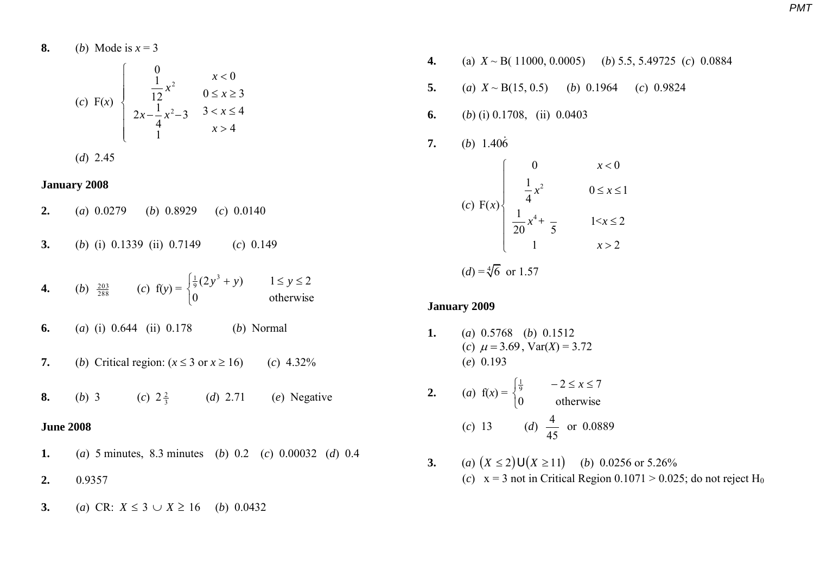8. (b) Mode is 
$$
x = 3
$$
  
\n(c) F(x) 
$$
\begin{cases}\n0 & x < 0 \\
\frac{1}{12}x^2 & 0 \le x \ge 3 \\
2x - \frac{1}{4}x^2 - 3 & 3 < x \le 4 \\
1 & x > 4\n\end{cases}
$$

$$
(d) 2.45
$$

### **January 2008**

- **2.** (*a*) 0.0279 (*b*) 0.8929 (*c*) 0.0140
- **3.** (*b*) (i) 0.1339 (ii) 0.7149 (*c*) 0.149
- **4.** (*b*)  $\frac{203}{288}$  (*c*)  $f(y) =$  $\overline{\mathcal{L}}$  $\left\{ \right.$  $\frac{1}{9}(2y^3 + y)$   $1 \le y \le$ 0 otherwise  $(2y^3 + y)$   $1 \le y \le 2$  $\frac{1}{9}(2y^3 + y)$   $1 \le y$
- **6.** (*a*) (i) 0.644 (ii) 0.178 (*b*) Normal
- **7.** (*b*) Critical region:  $(x \le 3 \text{ or } x \ge 16)$  (*c*) 4.32%
- **8.** (*b*) 3 (*c*) 2  $\frac{2}{3}$ (*d*) 2.71 (*e*) Negative

# **June 2008**

- **1.** (*a*) 5 minutes, 8.3 minutes (*b*) 0.2 (*c*) 0.00032 (*d*) 0.4
- **2.** 0.9357
- **3.** (*a*) CR:  $X \le 3 \cup X \ge 16$  (*b*) 0.0432
- **4.** (a) *X* ~ B( 11000, 0.0005) (*b*) 5.5, 5.49725 (*c*) 0.0884
- **5.** (*a*)  $X \sim B(15, 0.5)$  (*b*) 0.1964 (*c*) 0.9824
- **6.** (*b*) (i) 0.1708, (ii) 0.0403
- **7.** (*b*)  $1.406$

|                                                                                           |  | x < 0             |  |
|-------------------------------------------------------------------------------------------|--|-------------------|--|
| (c) F(x) $\begin{cases} 0 \\ \frac{1}{4}x^2 \\ \frac{1}{20}x^4 + \frac{1}{5} \end{cases}$ |  | $0 \leq x \leq 1$ |  |
|                                                                                           |  | $1 < x \leq 2$    |  |
|                                                                                           |  | x > 2             |  |
| $(d) = \sqrt[4]{6}$ or 1.57                                                               |  |                   |  |

#### **January 2009**

- **1.** (*a*) 0.5768 (*b*) 0.1512 (*c*)  $\mu = 3.69$ ,  $Var(X) = 3.72$ (*e*) 0.193
- **2.** (*a*)  $f(x) =$  $\overline{\mathcal{L}}$ ₹  $\frac{1}{9}$   $-2 \leq x \leq$ 0 otherwise 72 <sup>9</sup> 1 *x* (*c*) 13 (*d*) 45  $\frac{4}{15}$  or 0.0889
- **3.** (*a*)  $(X \le 2) \cup (X \ge 11)$  (*b*) 0.0256 or 5.26% (*c*)  $x = 3$  not in Critical Region  $0.1071 > 0.025$ ; do not reject H<sub>0</sub>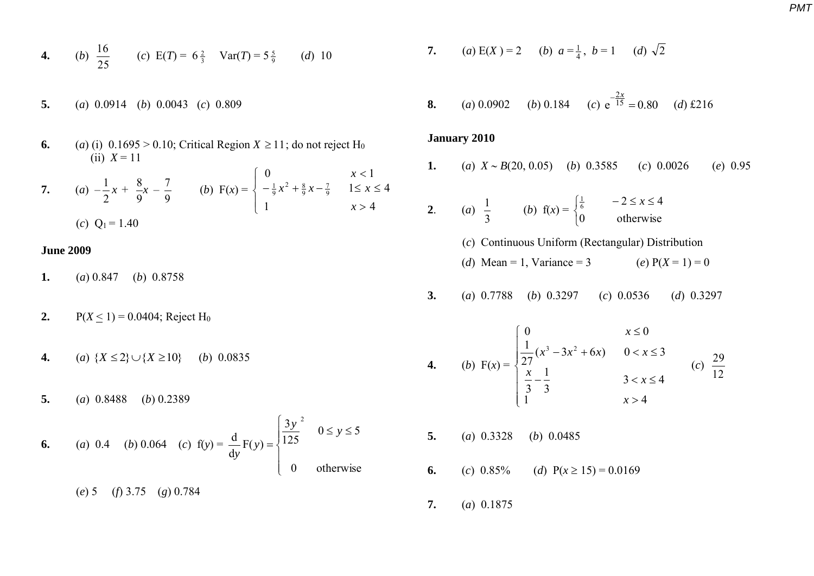**4.** (b) 
$$
\frac{16}{25}
$$
 (c)  $E(T) = 6\frac{2}{3}$  Var(T) =  $5\frac{5}{9}$  (d) 10

- **5.** (*a*) 0.0914 (*b*) 0.0043 (*c*) 0.809
- **6.** (*a*) (i)  $0.1695 > 0.10$ ; Critical Region  $X \ge 11$ ; do not reject H<sub>0</sub> (ii)  $X = 11$
- **7.** (*a*)  $-\frac{1}{2}x$ 2  $\frac{1}{2}x + \frac{8}{5}x$ 9  $\frac{8}{5}x -$ 9  $\frac{7}{8}$  (*b*) F(*x*) =  $\overline{\mathcal{L}}$  $\bigg\}$  $\left\{ \right.$  $\Big\}$  $>$  $-\frac{1}{9}x^2 + \frac{8}{9}x - \frac{7}{9}$   $1 \leq x \leq$  $\lt$ 1  $x > 4$  $1 \leq x \leq 4$ 0  $x < 1$  $\frac{1}{9}x^2 + \frac{8}{9}x - \frac{7}{9}$ *x*  $x^{2} + \frac{8}{9}x - \frac{7}{9}$  1  $\leq x$ *x*  $(c)$  Q<sub>1</sub> = 1.40

## **June 2009**

- **1.** (*a*) 0.847 (*b*)0.8758
- **2.**  $P(X \le 1) = 0.0404$ ; Reject H<sub>0</sub>
- **4.** (*a*)  $\{X \le 2\} \cup \{X \ge 10\}$  (*b*) 0.0835
- **5.** (*a*) 0.8488 (*b*) 0.2389

6. (a) 0.4 (b) 0.064 (c) 
$$
f(y) = \frac{d}{dy}F(y) = \begin{cases} \frac{3y^2}{125} & 0 \le y \le 5 \\ 0 & \text{otherwise} \end{cases}
$$
  
(e) 5 (f) 3.75 (g) 0.784

7. (a) 
$$
E(X) = 2
$$
 (b)  $a = \frac{1}{4}$ ,  $b = 1$  (d)  $\sqrt{2}$ 

**8.** (a) 0.0902 (b) 0.184 (c) 
$$
e^{\frac{-2x}{15}} = 0.80
$$
 (d) £216

#### **January 2010**

**1.** (*a*)  $X \sim B(20, 0.05)$  (*b*) 0.3585 (*c*) 0.0026 (*e*) 0.95

2. (a) 
$$
\frac{1}{3}
$$
 (b)  $f(x) = \begin{cases} \frac{1}{6} & -2 \le x \le 4 \\ 0 & \text{otherwise} \end{cases}$ 

(*c*) Continuous Uniform (Rectangular) Distribution (*d*) Mean = 1, Variance = 3 (*e*)  $P(X = 1) = 0$ 

**3.** (*a*) 0.7788 (*b*) 0.3297 (*c*) 0.0536 (*d*) 0.3297

4. (b) 
$$
F(x) = \begin{cases} 0 & x \le 0 \\ \frac{1}{27}(x^3 - 3x^2 + 6x) & 0 < x \le 3 \\ \frac{x}{3} - \frac{1}{3} & 3 < x \le 4 \end{cases}
$$
 (c)  $\frac{29}{12}$   
  $x > 4$ 

**5.** (*a*) 0.3328 (*b*) 0.0485 **6.** (*c*)  $0.85\%$  (*d*)  $P(x \ge 15) = 0.0169$ 

**7.** (*a*) 0.1875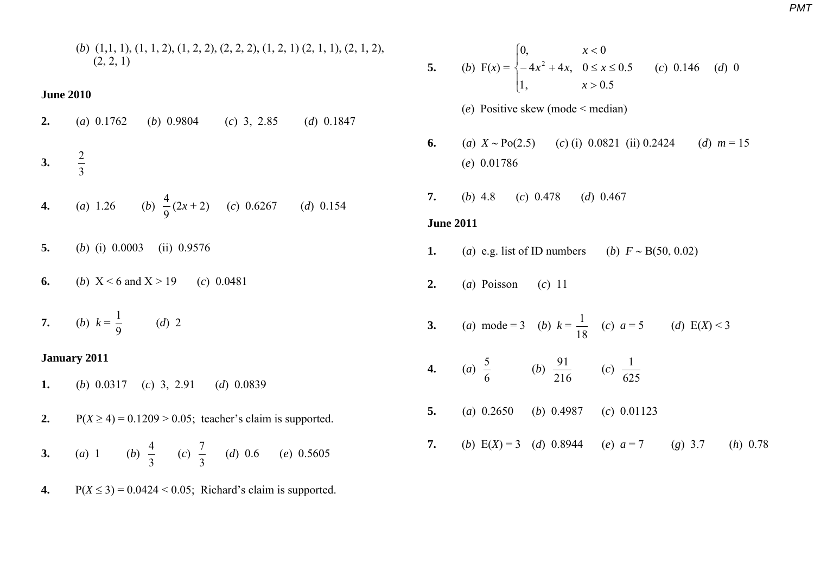(*b*) (1,1, 1), (1, 1, 2), (1, 2, 2), (2, 2, 2), (1, 2, 1) (2, 1, 1), (2, 1, 2),  $(2, 2, 1)$ 

### **June 2010**

**2.** (*a*) 0.1762 (*b*) 0.9804 (*c*) 3, 2.85 (*d*) 0.1847 2

$$
3. \frac{2}{3}
$$

**4.** (a) 1.26 (b) 
$$
\frac{4}{9}(2x+2)
$$
 (c) 0.6267 (d) 0.154

- **5.** (*b*) (i) 0.0003 (ii) 0.9576
- **6.** (*b*)  $X < 6$  and  $X > 19$  (*c*) 0.0481
- **7.** (*b*)  $k =$ 9  $\frac{1}{2}$  (*d*) 2

## **January 2011**

- **1.** (*b*) 0.0317 (*c*) 3, 2.91 (*d*) 0.0839
- **2.**  $P(X \ge 4) = 0.1209 > 0.05$ ; teacher's claim is supported. **3.** (*a*) 1 (*b*) 3  $\frac{4}{2}$  (c) 3  $\frac{7}{2}$  (*d*) 0.6 (*e*) 0.5605
- **4.**  $P(X \le 3) = 0.0424 \le 0.05$ ; Richard's claim is supported.

\n- **5.** (b) 
$$
F(x) = \begin{cases} 0, & x < 0 \\ -4x^2 + 4x, & 0 \le x \le 0.5 \\ 1, & x > 0.5 \end{cases}
$$
 (c) 0.146 (d) 0
\n- (e) Positive skew (mode < median)
\n- **6.** (a)  $X \sim \text{Po}(2.5)$  (c) (i) 0.0821 (ii) 0.2424 (d)  $m = 15$  (e) 0.01786
\n- **7.** (b) 4.8 (c) 0.478 (d) 0.467
\n

# **June 2011**

- **1.** (*a*) e.g. list of ID numbers (*b*)  $F \sim B(50, 0.02)$
- **2.** (*a*) Poisson (*c*) 11
- **3.** (*a*) mode = 3 (*b*)  $k =$ 18  $\frac{1}{4}$  (*c*)  $a = 5$  (*d*) E(*X*) < 3
- **4.** (*a*) 6  $\frac{5}{6}$  (b) 216  $\frac{91}{216}$  (c) 625 1
- **5.** (*a*) 0.2650 (*b*) 0.4987 (*c*) 0.01123
- **7.** (*b*)  $E(X) = 3$  (*d*) 0.8944 (*e*)  $a = 7$  (*g*) 3.7 (*h*) 0.78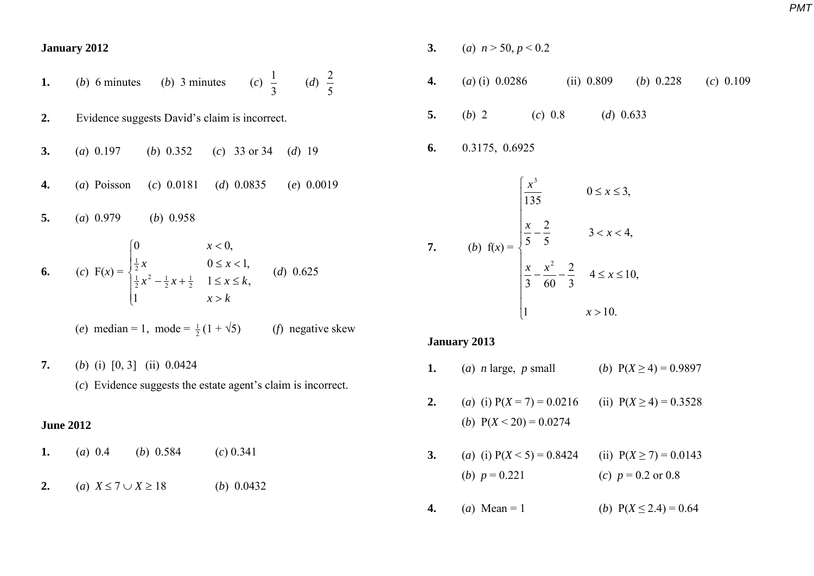**January 2012** 

\n- **1.** (b) 6 minutes (b) 3 minutes (c) 
$$
\frac{1}{3}
$$
 (d)  $\frac{2}{5}$
\n- **2.** Evidence suggests David's claim is incorrect.
\n- **3.** (a) 0.197 (b) 0.352 (c) 33 or 34 (d) 19
\n- **4.** (a) Poisson (c) 0.0181 (d) 0.0835 (e) 0.0019
\n- **5.** (a) 0.979 (b) 0.958
\n- **6.** (c)  $F(x) = \begin{cases} 0 & x < 0, \\ \frac{1}{2}x & 0 \le x < 1, \\ \frac{1}{2}x^2 - \frac{1}{2}x + \frac{1}{2} & 1 \le x \le k, \\ 1 & x > k \end{cases}$  (d) 0.625
\n- **6.** (e) median = 1, mode =  $\frac{1}{2}(1 + \sqrt{5})$  (f) negative skew
\n

**7.** (*b*) (i) [0, 3] (ii) 0.0424 (*c*) Evidence suggests the estate agent's claim is incorrect.

### **June 2012**

| 1. (a) 0.4 (b) 0.584 (c) 0.341              |
|---------------------------------------------|
| 2. (a) $X \leq 7 \cup X \geq 18$ (b) 0.0432 |

- **3.** (*a*)  $n > 50, p < 0.2$
- **4.** (*a*) (i) 0.0286 (ii) 0.809 (*b*) 0.228 (*c*) 0.109
- **5.** (*b*) 2 (*c*) 0.8 (*d*) 0.633
- **6.** 0.3175, 0.6925

7. (b) 
$$
f(x) = \begin{cases} \frac{x^3}{135} & 0 \le x \le 3, \\ \frac{x}{5} - \frac{2}{5} & 3 < x < 4, \\ \frac{x}{3} - \frac{x^2}{60} - \frac{2}{3} & 4 \le x \le 10, \\ 1 & x > 10. \end{cases}
$$

### **January 2013**

- **1.** (*a*) *n* large, *p* small (*b*)  $P(X \ge 4) = 0.9897$
- **2.** (*a*) (i)  $P(X = 7) = 0.0216$  (ii)  $P(X \ge 4) = 0.3528$ (*b*)  $P(X < 20) = 0.0274$
- **3.** (*a*) (i)  $P(X \le 5) = 0.8424$  (ii)  $P(X \ge 7) = 0.0143$ (*b*)  $p = 0.221$  (*c*)  $p = 0.2$  or 0.8
- **4.** (*a*) Mean = 1 (*b*)  $P(X \le 2.4) = 0.64$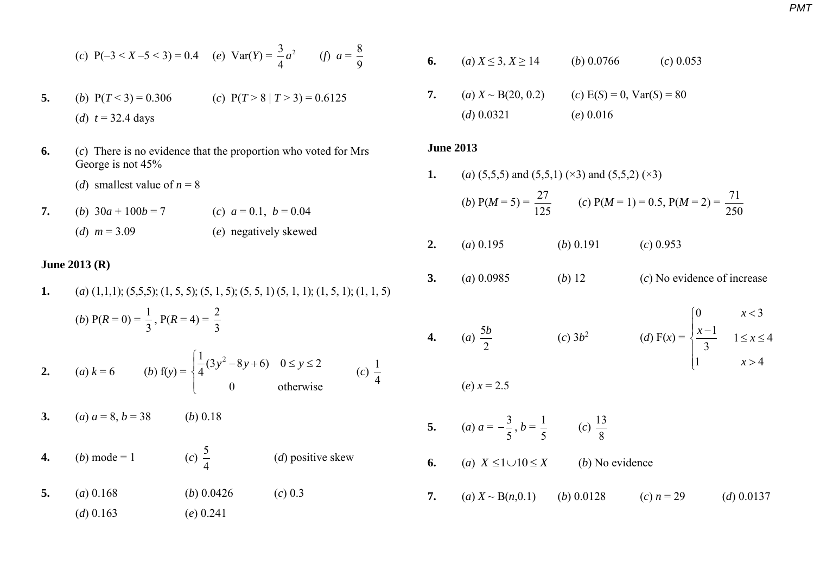(c) 
$$
P(-3 < X - 5 < 3) = 0.4
$$
 (e)  $Var(Y) = \frac{3}{4}a^2$  (f)  $a = \frac{8}{9}$ 

- 5. (*b*)  $P(T < 3) = 0.306$  (*c*)  $P(T > 8 | T > 3) = 0.6125$ (*d*)  $t = 32.4 \text{ days}$
- **6.** (*c*) There is no evidence that the proportion who voted for Mrs George is not 45%
	- (*d*) smallest value of  $n = 8$

(*d*) 0.163 (*e*) 0.241

**7.** (*b*)  $30a + 100b = 7$  (*c*)  $a = 0.1$ ,  $b = 0.04$ (*d*) *m* = 3.09 (*e*) negatively skewed

# **June 2013 (R)**

**1.** (*a*) (1,1,1); (5,5,5); (1, 5, 5); (5, 1, 5); (5, 5, 1) (5, 1, 1); (1, 5, 1); (1, 1, 5) (*b*)  $P(R = 0) = \frac{1}{2}$ 3 ,  $P(R = 4) = \frac{2}{3}$ 3 **2.** (*a*)  $k = 6$  (*b*)  $f(y) =$  $\frac{1}{4}(3y^2 - 8y + 6)$   $0 \le y \le 2$ <br>0 otherwise  $\begin{cases} \frac{1}{4}(3y^2-8y+6) & 0 \le y \le 2 \end{cases}$  $\overline{\mathcal{L}}$  $(c) \frac{1}{4}$ 4 **3.** (*a*)  $a = 8, b = 38$  (*b*) 0.18 **4.** (*b*) mode = 1 5 4 (*d*) positive skew **5.** (*a*) 0.168 (*b*) 0.0426 (*c*) 0.3

**6.** (*a*)  $X \le 3, X \ge 14$  (*b*) 0.0766 (*c*) 0.053 **7.** (*a*)  $X \sim B(20, 0.2)$  (*c*)  $E(S) = 0$ ,  $Var(S) = 80$ (*d*) 0.0321 (*e*) 0.016

### **June 2013**

**4.** (*a*)

**1.** (*a*) (5,5,5) and (5,5,1) ( $\times$ 3) and (5,5,2) ( $\times$ 3)

(b) 
$$
P(M = 5) = \frac{27}{125}
$$
 (c)  $P(M = 1) = 0.5$ ,  $P(M = 2) = \frac{71}{250}$ 

- **2.** (*a*) 0.195 (*b*) 0.191 (*c*) 0.953
- **3.** (*a*) 0.0985 (*b*) 12 (*c*) No evidence of increase

 $(e) x = 2.5$ 

(a) 
$$
\frac{5b}{2}
$$
 \t\t\t(c)  $3b^2$  \t\t\t(d)  $F(x) = \begin{cases} 0 & x < 3 \\ \frac{x-1}{3} & 1 \le x \le 4 \\ 1 & x > 4 \end{cases}$ 

5. (a) 
$$
a = -\frac{3}{5}, b = \frac{1}{5}
$$
 (c)  $\frac{13}{8}$ 

- **6.** (*a*)  $X \le 1 \cup 10 \le X$ (*b*) No evidence
- **7.** (*a*)  $X \sim B(n, 0.1)$  (*b*) 0.0128 (*c*)  $n = 29$  (*d*) 0.0137